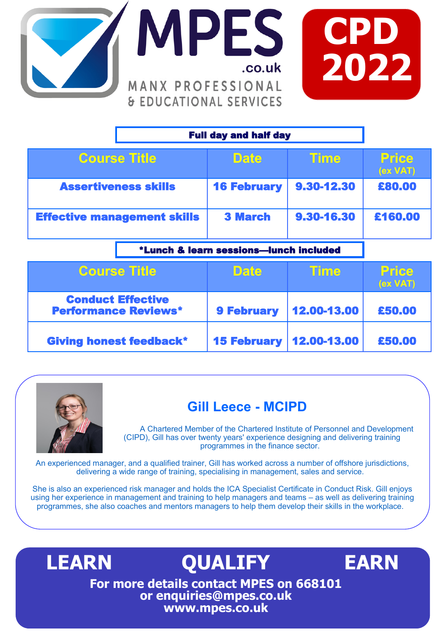



| <b>Full day and half day</b>                            |                                        |             |                          |
|---------------------------------------------------------|----------------------------------------|-------------|--------------------------|
| <b>Course Title</b>                                     | <b>Date</b>                            | Time        | <b>Price</b><br>(ex VAT) |
| <b>Assertiveness skills</b>                             | <b>16 February</b>                     | 9.30-12.30  | £80.00                   |
| <b>Effective management skills</b>                      | <b>3 March</b>                         | 9.30-16.30  | £160.00                  |
|                                                         | *Lunch & learn sessions-lunch included |             |                          |
| <b>Course Title</b>                                     | <b>Date</b>                            | Time        | <b>Price</b><br>(ex VAT) |
| <b>Conduct Effective</b><br><b>Performance Reviews*</b> | <b>9 February</b>                      | 12.00-13.00 | £50,00                   |



Giving honest feedback\*

## **Gill Leece - MCIPD**

**February** 

12.00-13.00

£50.00

A Chartered Member of the Chartered Institute of Personnel and Development (CIPD), Gill has over twenty years' experience designing and delivering training programmes in the finance sector.

An experienced manager, and a qualified trainer, Gill has worked across a number of offshore jurisdictions, delivering a wide range of training, specialising in management, sales and service.

She is also an experienced risk manager and holds the ICA Specialist Certificate in Conduct Risk. Gill enjoys using her experience in management and training to help managers and teams – as well as delivering training programmes, she also coaches and mentors managers to help them develop their skills in the workplace.

**LEARN QUALIFY EARN For more details contact MPES on 668101 or enquiries@mpes.co.uk www.mpes.co.uk**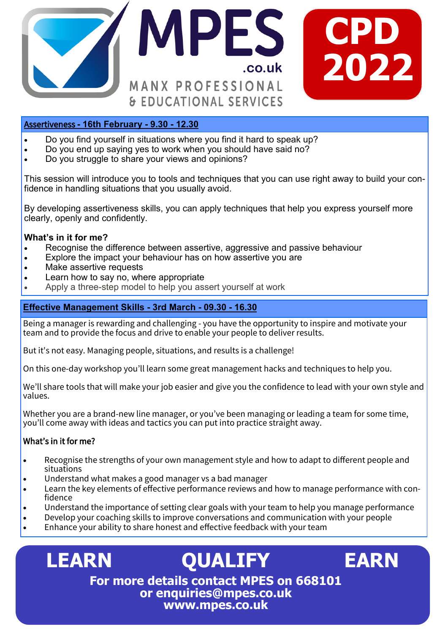

#### Assertiveness **- 16th February - 9.30 - 12.30**

- Do you find yourself in situations where you find it hard to speak up?
- Do you end up saying yes to work when you should have said no?
- Do you struggle to share your views and opinions?

This session will introduce you to tools and techniques that you can use right away to build your confidence in handling situations that you usually avoid.

By developing assertiveness skills, you can apply techniques that help you express yourself more clearly, openly and confidently.

#### **What's in it for me?**

- Recognise the difference between assertive, aggressive and passive behaviour
- Explore the impact your behaviour has on how assertive you are
- Make assertive requests
- Learn how to say no, where appropriate
- Apply a three-step model to help you assert yourself at work

#### **Effective Management Skills - 3rd March - 09.30 - 16.30**

Being a manager is rewarding and challenging - you have the opportunity to inspire and motivate your team and to provide the focus and drive to enable your people to deliver results.

But it's not easy. Managing people, situations, and results is a challenge!

On this one-day workshop you'll learn some great management hacks and techniques to help you.

We'll share tools that will make your job easier and give you the confidence to lead with your own style and values.

Whether you are a brand-new line manager, or you've been managing or leading a team for some time, you'll come away with ideas and tactics you can put into practice straight away.

#### What's in it for me?

- Recognise the strengths of your own management style and how to adapt to different people and situations
- Understand what makes a good manager vs a bad manager
- Learn the key elements of effective performance reviews and how to manage performance with confidence
- Understand the importance of setting clear goals with your team to help you manage performance
- Develop your coaching skills to improve conversations and communication with your people
- Enhance your ability to share honest and effective feedback with your team

### **LEARN QUALIFY EARN For more details contact MPES on 668101 or enquiries@mpes.co.uk www.mpes.co.uk**